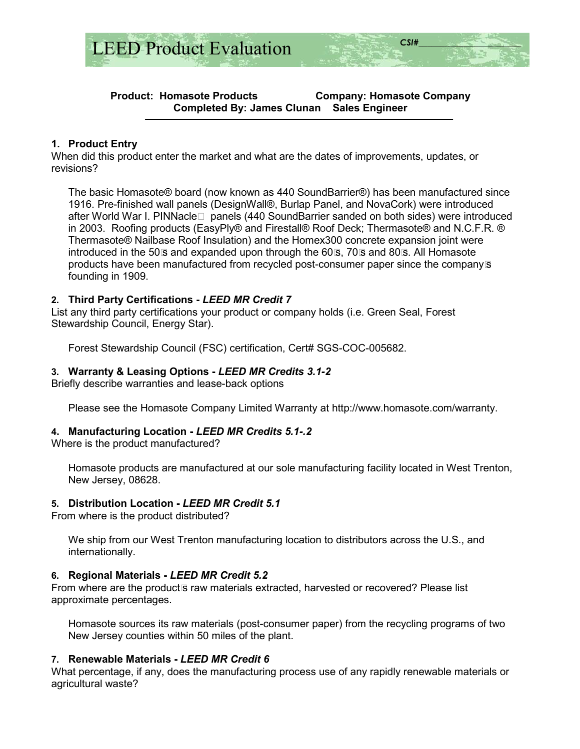

## **Product: Homasote Products Company: Homasote Company Completed By: James Clunan Sales Engineer**

## **1. Product Entry**

When did this product enter the market and what are the dates of improvements, updates, or revisions?

The basic Homasote® board (now known as 440 SoundBarrier®) has been manufactured since 1916. Pre-finished wall panels (DesignWall®, Burlap Panel, and NovaCork) were introduced after World War I. PINNacle panels (440 SoundBarrier sanded on both sides) were introduced in 2003. Roofing products (EasyPly® and Firestall® Roof Deck; Thermasote® and N.C.F.R. ® Thermasote® Nailbase Roof Insulation) and the Homex300 concrete expansion joint were introduced in the 50s and expanded upon through the 60s, 70s and 80s. All Homasote products have been manufactured from recycled post-consumer paper since the companys founding in 1909.

## **2. Third Party Certifications -** *LEED MR Credit 7*

List any third party certifications your product or company holds (i.e. Green Seal, Forest Stewardship Council, Energy Star).

Forest Stewardship Council (FSC) certification, Cert# SGS-COC-005682.

## **3. Warranty & Leasing Options -** *LEED MR Credits 3.1-2*

Briefly describe warranties and lease-back options

Please see the Homasote Company Limited Warranty at http://www.homasote.com/warranty.

### **4. Manufacturing Location -** *LEED MR Credits 5.1-.2*

Where is the product manufactured?

Homasote products are manufactured at our sole manufacturing facility located in West Trenton, New Jersey, 08628.

### **5. Distribution Location -** *LEED MR Credit 5.1*

From where is the product distributed?

We ship from our West Trenton manufacturing location to distributors across the U.S., and internationally.

### **6. Regional Materials -** *LEED MR Credit 5.2*

From where are the product<sub>s</sub> raw materials extracted, harvested or recovered? Please list approximate percentages.

Homasote sources its raw materials (post-consumer paper) from the recycling programs of two New Jersey counties within 50 miles of the plant.

### **7. Renewable Materials -** *LEED MR Credit 6*

What percentage, if any, does the manufacturing process use of any rapidly renewable materials or agricultural waste?